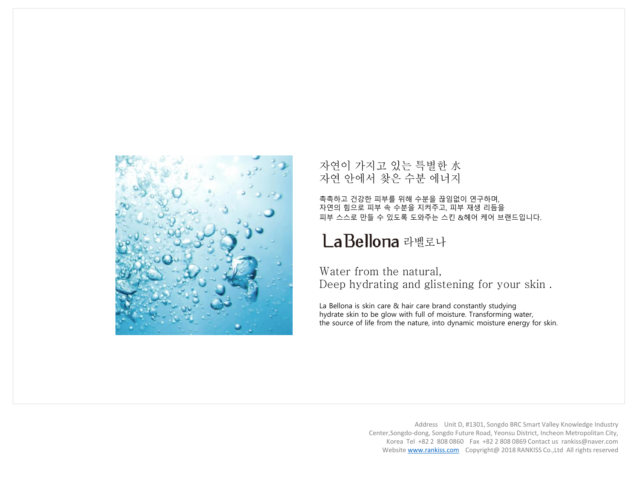

자연이 가지고 있는 특별한 水<br>자연 안에서 찾은 수분 에너지

촉촉하고 건강한 피부를 위해 수분을 끊임없이 연구하며, 자연의 힘으로 피부 속 수분을 지켜주고, 피부 재생 리듬을 피부 스스로 만들 수 있도록 도와주는 스킨 &헤어 케어 브랜드입니다.

# La Bellona 라벨로나

Water from the natural. Deep hydrating and glistening for your skin.

La Bellona is skin care & hair care brand constantly studying hydrate skin to be glow with full of moisture. Transforming water, the source of life from the nature, into dynamic moisture energy for skin.

> Address Unit D, #1301, Songdo BRC Smart Valley Knowledge Industry Center,Songdo-dong, Songdo Future Road, Yeonsu District, Incheon Metropolitan City, Korea Tel +82 2 808 0860 Fax +82 2 808 0869 Contact us rankiss@naver.com Website [www.rankiss.com](http://www.rankiss.com/) Copyright@ 2018 RANKISS Co.,Ltd All rights reserved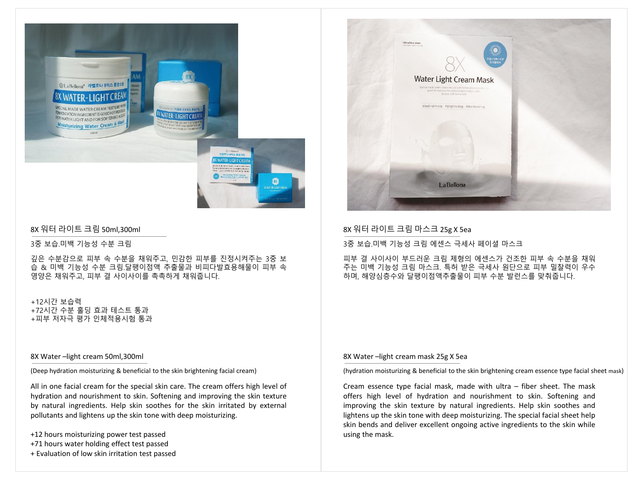

## 8X 워터 라이트 크림 50ml,300ml

3중 보습.미백 기능성 수분 크림

깊은 수분감으로 피부 속 수분을 채워주고, 민감한 피부를 진정시켜주는 3중 보 습 & 미백 기능성 수분 크림.달팽이점액 추출물과 비피다발효용해물이 피부 속 영양은 채워주고, 피부 결 사이사이를 촉촉하게 채워줍니다.

+12시간 보습력 +72시간 수분 홀딩 효과 테스트 통과 +피부 저자극 평가 인체적용시험 통과

#### 8X Water –light cream 50ml,300ml

(Deep hydration moisturizing & beneficial to the skin brightening facial cream)

All in one facial cream for the special skin care. The cream offers high level of hydration and nourishment to skin. Softening and improving the skin texture by natural ingredients. Help skin soothes for the skin irritated by external pollutants and lightens up the skin tone with deep moisturizing.

- +12 hours moisturizing power test passed
- +71 hours water holding effect test passed
- + Evaluation of low skin irritation test passed



## 8X 워터 라이트 크림 마스크 25g X 5ea

3중 보습.미백 기능성 크림 에센스 극세사 페이셜 마스크

피부 결 사이사이 부드러운 크림 제형의 에센스가 건조한 피부 속 수분을 채워 주는 미백 기능성 크림 마스크. 특허 받은 극세사 원단으로 피부 밀찰력이 우수 하며, 해양심층수와 달팽이점액추출물이 피부 수분 발런스를 맞춰줍니다.

#### 8X Water –light cream mask 25g X 5ea

(hydration moisturizing & beneficial to the skin brightening cream essence type facial sheet mask)

Cream essence type facial mask, made with ultra – fiber sheet. The mask offers high level of hydration and nourishment to skin. Softening and improving the skin texture by natural ingredients. Help skin soothes and lightens up the skin tone with deep moisturizing. The special facial sheet help skin bends and deliver excellent ongoing active ingredients to the skin while using the mask.